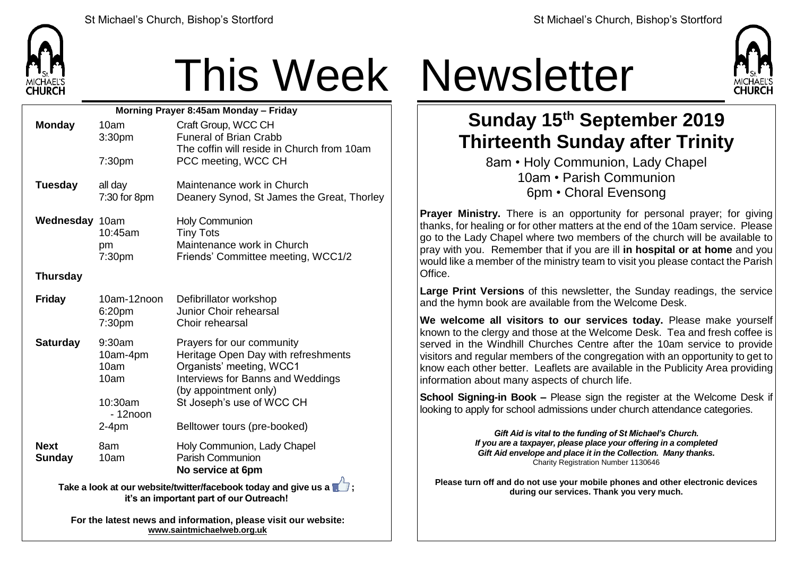

## This Week Newsletter

| Morning Prayer 8:45am Monday - Friday                                                                                       |                                                             |                                                                                                                                                                                         |  |  |
|-----------------------------------------------------------------------------------------------------------------------------|-------------------------------------------------------------|-----------------------------------------------------------------------------------------------------------------------------------------------------------------------------------------|--|--|
| <b>Monday</b>                                                                                                               | 10am                                                        | Craft Group, WCC CH                                                                                                                                                                     |  |  |
|                                                                                                                             | 3:30pm                                                      | <b>Funeral of Brian Crabb</b>                                                                                                                                                           |  |  |
|                                                                                                                             | 7:30pm                                                      | The coffin will reside in Church from 10am<br>PCC meeting, WCC CH                                                                                                                       |  |  |
| <b>Tuesday</b>                                                                                                              | all day<br>7:30 for 8pm                                     | Maintenance work in Church<br>Deanery Synod, St James the Great, Thorley                                                                                                                |  |  |
| Wednesday 10am                                                                                                              | 10:45am<br>pm<br>7:30 <sub>pm</sub>                         | <b>Holy Communion</b><br><b>Tiny Tots</b><br>Maintenance work in Church<br>Friends' Committee meeting, WCC1/2                                                                           |  |  |
| <b>Thursday</b>                                                                                                             |                                                             |                                                                                                                                                                                         |  |  |
| <b>Friday</b>                                                                                                               | 10am-12noon<br>6:20pm<br>7:30pm                             | Defibrillator workshop<br>Junior Choir rehearsal<br>Choir rehearsal                                                                                                                     |  |  |
| <b>Saturday</b>                                                                                                             | 9:30am<br>10am-4pm<br>10am<br>10am<br>10:30am<br>$-12$ noon | Prayers for our community<br>Heritage Open Day with refreshments<br>Organists' meeting, WCC1<br>Interviews for Banns and Weddings<br>(by appointment only)<br>St Joseph's use of WCC CH |  |  |
|                                                                                                                             | $2-4pm$                                                     | Belltower tours (pre-booked)                                                                                                                                                            |  |  |
| <b>Next</b><br><b>Sunday</b>                                                                                                | 8am<br>10am                                                 | Holy Communion, Lady Chapel<br><b>Parish Communion</b><br>No service at 6pm                                                                                                             |  |  |
| Take a look at our website/twitter/facebook today and give us a $\blacksquare$ ;<br>it's an important part of our Outreach! |                                                             |                                                                                                                                                                                         |  |  |
| For the latest news and information, please visit our website:                                                              |                                                             |                                                                                                                                                                                         |  |  |

**[www.saintmichaelweb.org.uk](http://www.saintmichaelweb.org.uk/)**



## **Sunday 15th September 2019 Thirteenth Sunday after Trinity**

8am • Holy Communion, Lady Chapel 10am • Parish Communion 6pm • Choral Evensong

**Prayer Ministry.** There is an opportunity for personal prayer; for giving thanks, for healing or for other matters at the end of the 10am service. Please go to the Lady Chapel where two members of the church will be available to pray with you. Remember that if you are ill **in hospital or at home** and you would like a member of the ministry team to visit you please contact the Parish Office.

**Large Print Versions** of this newsletter, the Sunday readings, the service and the hymn book are available from the Welcome Desk.

**We welcome all visitors to our services today.** Please make yourself known to the clergy and those at the Welcome Desk. Tea and fresh coffee is served in the Windhill Churches Centre after the 10am service to provide visitors and regular members of the congregation with an opportunity to get to know each other better. Leaflets are available in the Publicity Area providing information about many aspects of church life.

**School Signing-in Book –** Please sign the register at the Welcome Desk if looking to apply for school admissions under church attendance categories.

> *Gift Aid is vital to the funding of St Michael's Church. If you are a taxpayer, please place your offering in a completed Gift Aid envelope and place it in the Collection. Many thanks.* Charity Registration Number 1130646

**Please turn off and do not use your mobile phones and other electronic devices during our services. Thank you very much.**